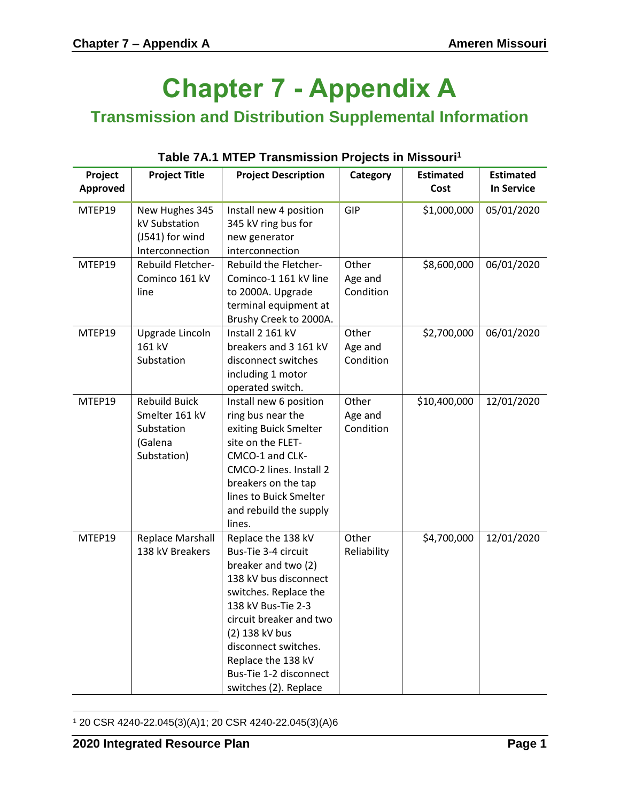## **Chapter 7 - Appendix A**

**Transmission and Distribution Supplemental Information**

| Project  | <b>Project Title</b>                                                           | <b>Project Description</b>                                                                                                                                                                                                                                                             | Category                      | <b>Estimated</b> | <b>Estimated</b>  |
|----------|--------------------------------------------------------------------------------|----------------------------------------------------------------------------------------------------------------------------------------------------------------------------------------------------------------------------------------------------------------------------------------|-------------------------------|------------------|-------------------|
| Approved |                                                                                |                                                                                                                                                                                                                                                                                        |                               | Cost             | <b>In Service</b> |
| MTEP19   | New Hughes 345<br>kV Substation<br>(J541) for wind<br>Interconnection          | Install new 4 position<br>345 kV ring bus for<br>new generator<br>interconnection                                                                                                                                                                                                      | GIP                           | \$1,000,000      | 05/01/2020        |
| MTEP19   | Rebuild Fletcher-<br>Cominco 161 kV<br>line                                    | Rebuild the Fletcher-<br>Cominco-1 161 kV line<br>to 2000A. Upgrade<br>terminal equipment at<br>Brushy Creek to 2000A.                                                                                                                                                                 | Other<br>Age and<br>Condition | \$8,600,000      | 06/01/2020        |
| MTEP19   | Upgrade Lincoln<br>161 kV<br>Substation                                        | Install 2 161 kV<br>breakers and 3 161 kV<br>disconnect switches<br>including 1 motor<br>operated switch.                                                                                                                                                                              | Other<br>Age and<br>Condition | \$2,700,000      | 06/01/2020        |
| MTEP19   | <b>Rebuild Buick</b><br>Smelter 161 kV<br>Substation<br>(Galena<br>Substation) | Install new 6 position<br>ring bus near the<br>exiting Buick Smelter<br>site on the FLET-<br>CMCO-1 and CLK-<br>CMCO-2 lines. Install 2<br>breakers on the tap<br>lines to Buick Smelter<br>and rebuild the supply<br>lines.                                                           | Other<br>Age and<br>Condition | \$10,400,000     | 12/01/2020        |
| MTEP19   | <b>Replace Marshall</b><br>138 kV Breakers                                     | Replace the 138 kV<br>Bus-Tie 3-4 circuit<br>breaker and two (2)<br>138 kV bus disconnect<br>switches. Replace the<br>138 kV Bus-Tie 2-3<br>circuit breaker and two<br>(2) 138 kV bus<br>disconnect switches.<br>Replace the 138 kV<br>Bus-Tie 1-2 disconnect<br>switches (2). Replace | Other<br>Reliability          | \$4,700,000      | 12/01/2020        |

## **Table 7A.1 MTEP Transmission Projects in Missouri<sup>1</sup>**

 $\overline{a}$ 

<sup>1</sup> 20 CSR 4240-22.045(3)(A)1; 20 CSR 4240-22.045(3)(A)6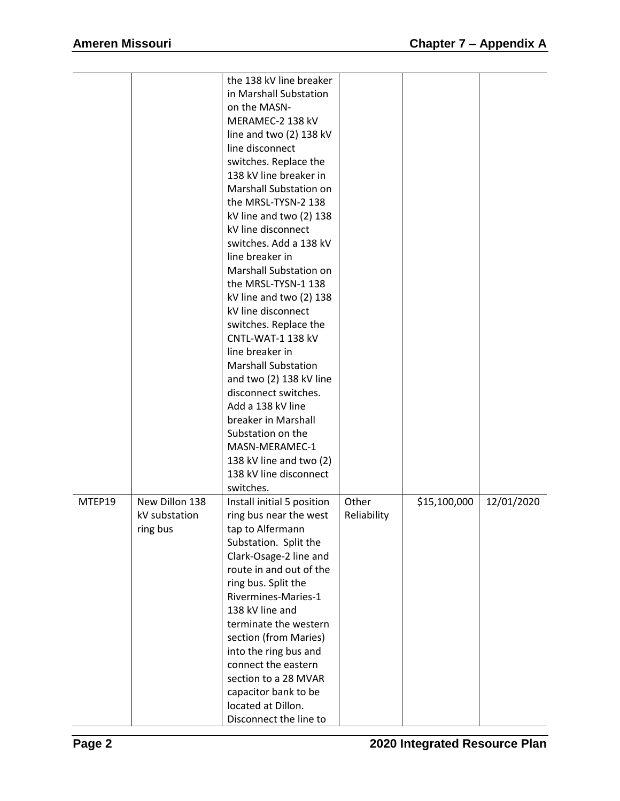|        |                | the 138 kV line breaker    |             |              |            |
|--------|----------------|----------------------------|-------------|--------------|------------|
|        |                | in Marshall Substation     |             |              |            |
|        |                |                            |             |              |            |
|        |                | on the MASN-               |             |              |            |
|        |                | MERAMEC-2 138 kV           |             |              |            |
|        |                | line and two (2) 138 kV    |             |              |            |
|        |                | line disconnect            |             |              |            |
|        |                | switches. Replace the      |             |              |            |
|        |                | 138 kV line breaker in     |             |              |            |
|        |                | Marshall Substation on     |             |              |            |
|        |                | the MRSL-TYSN-2 138        |             |              |            |
|        |                | kV line and two (2) 138    |             |              |            |
|        |                | kV line disconnect         |             |              |            |
|        |                | switches. Add a 138 kV     |             |              |            |
|        |                | line breaker in            |             |              |            |
|        |                | Marshall Substation on     |             |              |            |
|        |                | the MRSL-TYSN-1 138        |             |              |            |
|        |                | kV line and two (2) 138    |             |              |            |
|        |                | kV line disconnect         |             |              |            |
|        |                | switches. Replace the      |             |              |            |
|        |                | CNTL-WAT-1 138 kV          |             |              |            |
|        |                | line breaker in            |             |              |            |
|        |                | <b>Marshall Substation</b> |             |              |            |
|        |                | and two (2) 138 kV line    |             |              |            |
|        |                | disconnect switches.       |             |              |            |
|        |                | Add a 138 kV line          |             |              |            |
|        |                | breaker in Marshall        |             |              |            |
|        |                | Substation on the          |             |              |            |
|        |                | MASN-MERAMEC-1             |             |              |            |
|        |                | 138 kV line and two (2)    |             |              |            |
|        |                | 138 kV line disconnect     |             |              |            |
|        |                | switches.                  |             |              |            |
| MTEP19 | New Dillon 138 | Install initial 5 position | Other       | \$15,100,000 | 12/01/2020 |
|        | kV substation  | ring bus near the west     | Reliability |              |            |
|        | ring bus       | tap to Alfermann           |             |              |            |
|        |                | Substation. Split the      |             |              |            |
|        |                | Clark-Osage-2 line and     |             |              |            |
|        |                | route in and out of the    |             |              |            |
|        |                | ring bus. Split the        |             |              |            |
|        |                | Rivermines-Maries-1        |             |              |            |
|        |                | 138 kV line and            |             |              |            |
|        |                | terminate the western      |             |              |            |
|        |                | section (from Maries)      |             |              |            |
|        |                | into the ring bus and      |             |              |            |
|        |                | connect the eastern        |             |              |            |
|        |                | section to a 28 MVAR       |             |              |            |
|        |                | capacitor bank to be       |             |              |            |
|        |                | located at Dillon.         |             |              |            |
|        |                | Disconnect the line to     |             |              |            |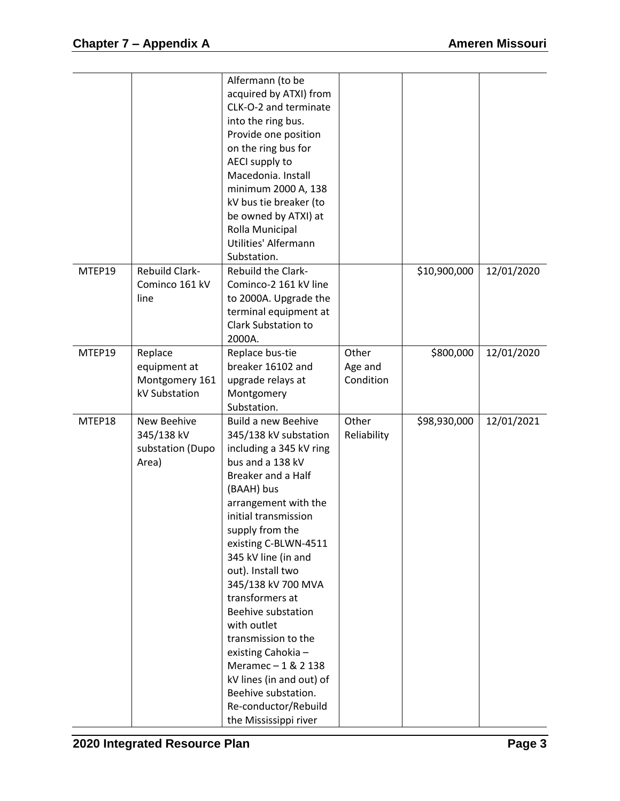|        |                       | Alfermann (to be           |             |              |            |
|--------|-----------------------|----------------------------|-------------|--------------|------------|
|        |                       | acquired by ATXI) from     |             |              |            |
|        |                       | CLK-O-2 and terminate      |             |              |            |
|        |                       | into the ring bus.         |             |              |            |
|        |                       |                            |             |              |            |
|        |                       | Provide one position       |             |              |            |
|        |                       | on the ring bus for        |             |              |            |
|        |                       | AECI supply to             |             |              |            |
|        |                       | Macedonia. Install         |             |              |            |
|        |                       | minimum 2000 A, 138        |             |              |            |
|        |                       | kV bus tie breaker (to     |             |              |            |
|        |                       | be owned by ATXI) at       |             |              |            |
|        |                       | Rolla Municipal            |             |              |            |
|        |                       | Utilities' Alfermann       |             |              |            |
|        |                       | Substation.                |             |              |            |
| MTEP19 | <b>Rebuild Clark-</b> | <b>Rebuild the Clark-</b>  |             | \$10,900,000 | 12/01/2020 |
|        | Cominco 161 kV        | Cominco-2 161 kV line      |             |              |            |
|        | line                  | to 2000A. Upgrade the      |             |              |            |
|        |                       | terminal equipment at      |             |              |            |
|        |                       | <b>Clark Substation to</b> |             |              |            |
|        |                       | 2000A.                     |             |              |            |
| MTEP19 | Replace               | Replace bus-tie            | Other       | \$800,000    | 12/01/2020 |
|        | equipment at          | breaker 16102 and          | Age and     |              |            |
|        | Montgomery 161        | upgrade relays at          | Condition   |              |            |
|        | kV Substation         | Montgomery                 |             |              |            |
|        |                       | Substation.                |             |              |            |
| MTEP18 | New Beehive           | <b>Build a new Beehive</b> | Other       | \$98,930,000 | 12/01/2021 |
|        | 345/138 kV            | 345/138 kV substation      | Reliability |              |            |
|        | substation (Dupo      | including a 345 kV ring    |             |              |            |
|        | Area)                 | bus and a 138 kV           |             |              |            |
|        |                       | Breaker and a Half         |             |              |            |
|        |                       | (BAAH) bus                 |             |              |            |
|        |                       | arrangement with the       |             |              |            |
|        |                       | initial transmission       |             |              |            |
|        |                       | supply from the            |             |              |            |
|        |                       | existing C-BLWN-4511       |             |              |            |
|        |                       | 345 kV line (in and        |             |              |            |
|        |                       | out). Install two          |             |              |            |
|        |                       | 345/138 kV 700 MVA         |             |              |            |
|        |                       | transformers at            |             |              |            |
|        |                       | Beehive substation         |             |              |            |
|        |                       | with outlet                |             |              |            |
|        |                       | transmission to the        |             |              |            |
|        |                       | existing Cahokia-          |             |              |            |
|        |                       | Meramec-1&2138             |             |              |            |
|        |                       | kV lines (in and out) of   |             |              |            |
|        |                       | Beehive substation.        |             |              |            |
|        |                       | Re-conductor/Rebuild       |             |              |            |
|        |                       | the Mississippi river      |             |              |            |
|        |                       |                            |             |              |            |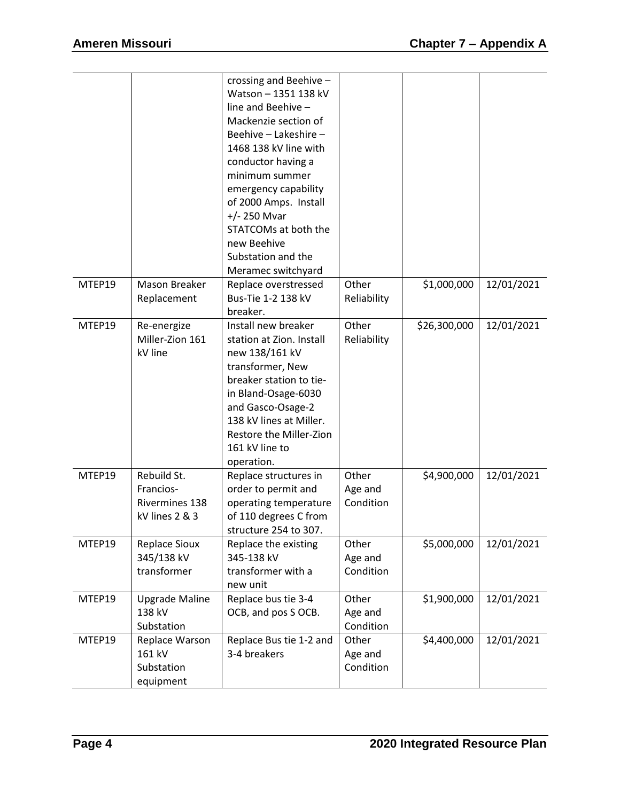|        |                                                                     | crossing and Beehive -<br>Watson - 1351 138 kV<br>line and Beehive -<br>Mackenzie section of<br>Beehive - Lakeshire -<br>1468 138 kV line with<br>conductor having a<br>minimum summer<br>emergency capability<br>of 2000 Amps. Install<br>$+/- 250$ Mvar<br>STATCOMs at both the<br>new Beehive<br>Substation and the |                               |              |            |
|--------|---------------------------------------------------------------------|------------------------------------------------------------------------------------------------------------------------------------------------------------------------------------------------------------------------------------------------------------------------------------------------------------------------|-------------------------------|--------------|------------|
| MTEP19 | Mason Breaker<br>Replacement                                        | Meramec switchyard<br>Replace overstressed<br>Bus-Tie 1-2 138 kV<br>breaker.                                                                                                                                                                                                                                           | Other<br>Reliability          | \$1,000,000  | 12/01/2021 |
| MTEP19 | Re-energize<br>Miller-Zion 161<br>kV line                           | Install new breaker<br>station at Zion. Install<br>new 138/161 kV<br>transformer, New<br>breaker station to tie-<br>in Bland-Osage-6030<br>and Gasco-Osage-2<br>138 kV lines at Miller.<br>Restore the Miller-Zion<br>161 kV line to<br>operation.                                                                     | Other<br>Reliability          | \$26,300,000 | 12/01/2021 |
| MTEP19 | Rebuild St.<br>Francios-<br><b>Rivermines 138</b><br>kV lines 2 & 3 | Replace structures in<br>order to permit and<br>operating temperature<br>of 110 degrees C from<br>structure 254 to 307.                                                                                                                                                                                                | Other<br>Age and<br>Condition | \$4,900,000  | 12/01/2021 |
| MTEP19 | <b>Replace Sioux</b><br>345/138 kV<br>transformer                   | Replace the existing<br>345-138 kV<br>transformer with a<br>new unit                                                                                                                                                                                                                                                   | Other<br>Age and<br>Condition | \$5,000,000  | 12/01/2021 |
| MTEP19 | <b>Upgrade Maline</b><br>138 kV<br>Substation                       | Replace bus tie 3-4<br>OCB, and pos S OCB.                                                                                                                                                                                                                                                                             | Other<br>Age and<br>Condition | \$1,900,000  | 12/01/2021 |
| MTEP19 | Replace Warson<br>161 kV<br>Substation<br>equipment                 | Replace Bus tie 1-2 and<br>3-4 breakers                                                                                                                                                                                                                                                                                | Other<br>Age and<br>Condition | \$4,400,000  | 12/01/2021 |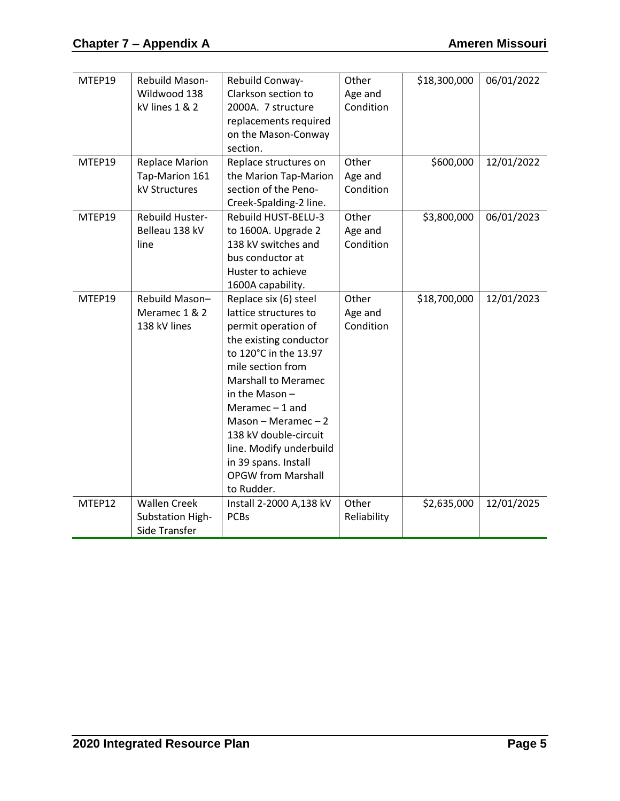| MTEP19<br>MTEP19 | Rebuild Mason-<br>Wildwood 138<br>kV lines 1 & 2<br><b>Replace Marion</b><br>Tap-Marion 161 | Rebuild Conway-<br>Clarkson section to<br>2000A. 7 structure<br>replacements required<br>on the Mason-Conway<br>section.<br>Replace structures on<br>the Marion Tap-Marion                                                                                                                                                                                         | Other<br>Age and<br>Condition<br>Other<br>Age and | \$18,300,000<br>\$600,000 | 06/01/2022<br>12/01/2022 |
|------------------|---------------------------------------------------------------------------------------------|--------------------------------------------------------------------------------------------------------------------------------------------------------------------------------------------------------------------------------------------------------------------------------------------------------------------------------------------------------------------|---------------------------------------------------|---------------------------|--------------------------|
|                  | kV Structures                                                                               | section of the Peno-<br>Creek-Spalding-2 line.                                                                                                                                                                                                                                                                                                                     | Condition                                         |                           |                          |
| MTEP19           | Rebuild Huster-<br>Belleau 138 kV<br>line                                                   | Rebuild HUST-BELU-3<br>to 1600A. Upgrade 2<br>138 kV switches and<br>bus conductor at<br>Huster to achieve<br>1600A capability.                                                                                                                                                                                                                                    | Other<br>Age and<br>Condition                     | \$3,800,000               | 06/01/2023               |
| MTEP19           | Rebuild Mason-<br>Meramec 1 & 2<br>138 kV lines                                             | Replace six (6) steel<br>lattice structures to<br>permit operation of<br>the existing conductor<br>to 120°C in the 13.97<br>mile section from<br><b>Marshall to Meramec</b><br>in the Mason $-$<br>Meramec $-1$ and<br>Mason - Meramec $-2$<br>138 kV double-circuit<br>line. Modify underbuild<br>in 39 spans. Install<br><b>OPGW from Marshall</b><br>to Rudder. | Other<br>Age and<br>Condition                     | \$18,700,000              | 12/01/2023               |
| MTEP12           | <b>Wallen Creek</b><br>Substation High-<br>Side Transfer                                    | Install 2-2000 A,138 kV<br><b>PCBs</b>                                                                                                                                                                                                                                                                                                                             | Other<br>Reliability                              | \$2,635,000               | 12/01/2025               |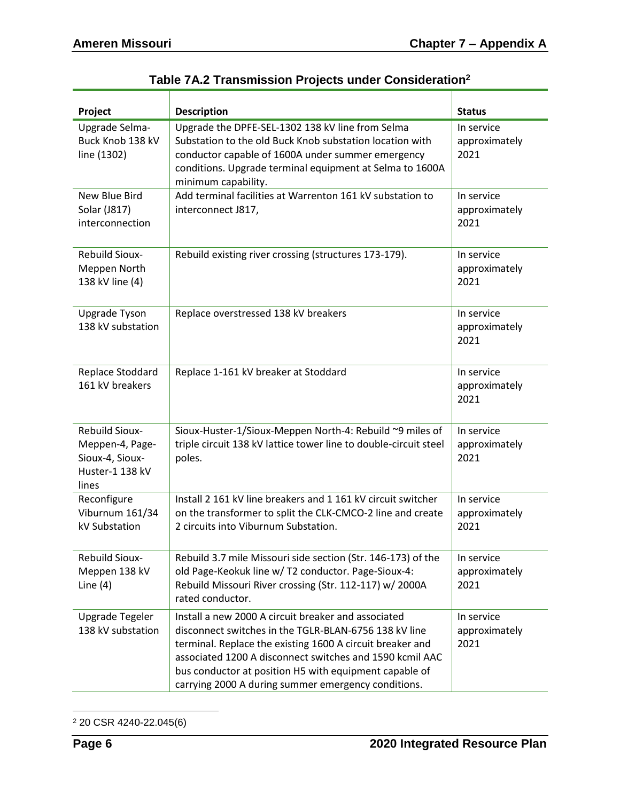| Project                                                                          | <b>Description</b>                                                                                                                                                                                                                                                                                                                                     | <b>Status</b>                       |
|----------------------------------------------------------------------------------|--------------------------------------------------------------------------------------------------------------------------------------------------------------------------------------------------------------------------------------------------------------------------------------------------------------------------------------------------------|-------------------------------------|
| Upgrade Selma-<br>Buck Knob 138 kV<br>line (1302)                                | Upgrade the DPFE-SEL-1302 138 kV line from Selma<br>Substation to the old Buck Knob substation location with<br>conductor capable of 1600A under summer emergency<br>conditions. Upgrade terminal equipment at Selma to 1600A<br>minimum capability.                                                                                                   | In service<br>approximately<br>2021 |
| New Blue Bird<br>Solar (J817)<br>interconnection                                 | Add terminal facilities at Warrenton 161 kV substation to<br>interconnect J817,                                                                                                                                                                                                                                                                        | In service<br>approximately<br>2021 |
| <b>Rebuild Sioux-</b><br>Meppen North<br>138 kV line (4)                         | Rebuild existing river crossing (structures 173-179).                                                                                                                                                                                                                                                                                                  | In service<br>approximately<br>2021 |
| Upgrade Tyson<br>138 kV substation                                               | Replace overstressed 138 kV breakers                                                                                                                                                                                                                                                                                                                   | In service<br>approximately<br>2021 |
| Replace Stoddard<br>161 kV breakers                                              | Replace 1-161 kV breaker at Stoddard                                                                                                                                                                                                                                                                                                                   | In service<br>approximately<br>2021 |
| Rebuild Sioux-<br>Meppen-4, Page-<br>Sioux-4, Sioux-<br>Huster-1 138 kV<br>lines | Sioux-Huster-1/Sioux-Meppen North-4: Rebuild ~9 miles of<br>triple circuit 138 kV lattice tower line to double-circuit steel<br>poles.                                                                                                                                                                                                                 | In service<br>approximately<br>2021 |
| Reconfigure<br>Viburnum 161/34<br>kV Substation                                  | Install 2 161 kV line breakers and 1 161 kV circuit switcher<br>on the transformer to split the CLK-CMCO-2 line and create<br>2 circuits into Viburnum Substation.                                                                                                                                                                                     | In service<br>approximately<br>2021 |
| <b>Rebuild Sioux-</b><br>Meppen 138 kV<br>Line $(4)$                             | Rebuild 3.7 mile Missouri side section (Str. 146-173) of the<br>old Page-Keokuk line w/ T2 conductor. Page-Sioux-4:<br>Rebuild Missouri River crossing (Str. 112-117) w/ 2000A<br>rated conductor.                                                                                                                                                     | In service<br>approximately<br>2021 |
| Upgrade Tegeler<br>138 kV substation                                             | Install a new 2000 A circuit breaker and associated<br>disconnect switches in the TGLR-BLAN-6756 138 kV line<br>terminal. Replace the existing 1600 A circuit breaker and<br>associated 1200 A disconnect switches and 1590 kcmil AAC<br>bus conductor at position H5 with equipment capable of<br>carrying 2000 A during summer emergency conditions. | In service<br>approximately<br>2021 |

 $\overline{a}$ <sup>2</sup> 20 CSR 4240-22.045(6)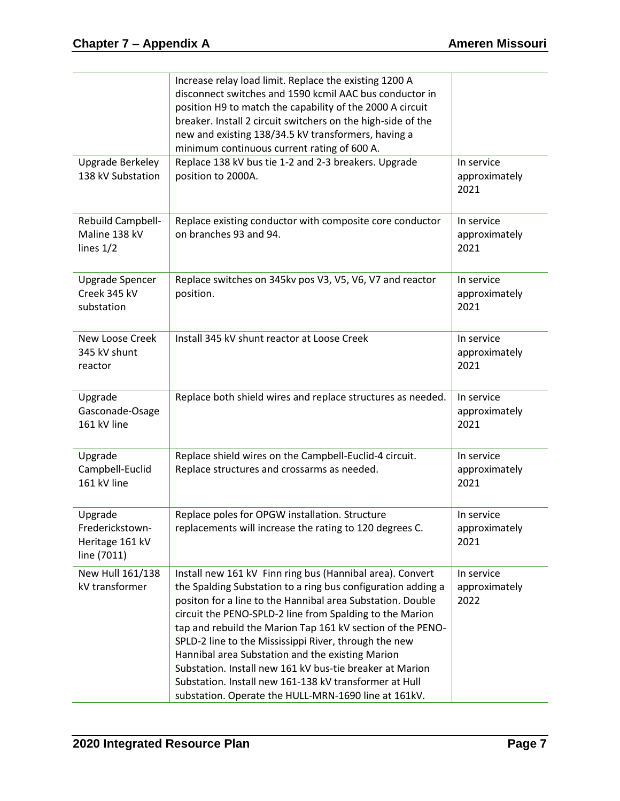|                                                              | Increase relay load limit. Replace the existing 1200 A<br>disconnect switches and 1590 kcmil AAC bus conductor in<br>position H9 to match the capability of the 2000 A circuit<br>breaker. Install 2 circuit switchers on the high-side of the<br>new and existing 138/34.5 kV transformers, having a<br>minimum continuous current rating of 600 A.                                                                                                                                                                                                                                                         |                                     |
|--------------------------------------------------------------|--------------------------------------------------------------------------------------------------------------------------------------------------------------------------------------------------------------------------------------------------------------------------------------------------------------------------------------------------------------------------------------------------------------------------------------------------------------------------------------------------------------------------------------------------------------------------------------------------------------|-------------------------------------|
| <b>Upgrade Berkeley</b><br>138 kV Substation                 | Replace 138 kV bus tie 1-2 and 2-3 breakers. Upgrade<br>position to 2000A.                                                                                                                                                                                                                                                                                                                                                                                                                                                                                                                                   | In service<br>approximately<br>2021 |
| Rebuild Campbell-<br>Maline 138 kV<br>lines $1/2$            | Replace existing conductor with composite core conductor<br>on branches 93 and 94.                                                                                                                                                                                                                                                                                                                                                                                                                                                                                                                           | In service<br>approximately<br>2021 |
| <b>Upgrade Spencer</b><br>Creek 345 kV<br>substation         | Replace switches on 345kv pos V3, V5, V6, V7 and reactor<br>position.                                                                                                                                                                                                                                                                                                                                                                                                                                                                                                                                        | In service<br>approximately<br>2021 |
| New Loose Creek<br>345 kV shunt<br>reactor                   | Install 345 kV shunt reactor at Loose Creek                                                                                                                                                                                                                                                                                                                                                                                                                                                                                                                                                                  | In service<br>approximately<br>2021 |
| Upgrade<br>Gasconade-Osage<br>161 kV line                    | Replace both shield wires and replace structures as needed.                                                                                                                                                                                                                                                                                                                                                                                                                                                                                                                                                  | In service<br>approximately<br>2021 |
| Upgrade<br>Campbell-Euclid<br>161 kV line                    | Replace shield wires on the Campbell-Euclid-4 circuit.<br>Replace structures and crossarms as needed.                                                                                                                                                                                                                                                                                                                                                                                                                                                                                                        | In service<br>approximately<br>2021 |
| Upgrade<br>Frederickstown-<br>Heritage 161 kV<br>line (7011) | Replace poles for OPGW installation. Structure<br>replacements will increase the rating to 120 degrees C.                                                                                                                                                                                                                                                                                                                                                                                                                                                                                                    | In service<br>approximately<br>2021 |
| New Hull 161/138<br>kV transformer                           | Install new 161 kV Finn ring bus (Hannibal area). Convert<br>the Spalding Substation to a ring bus configuration adding a<br>positon for a line to the Hannibal area Substation. Double<br>circuit the PENO-SPLD-2 line from Spalding to the Marion<br>tap and rebuild the Marion Tap 161 kV section of the PENO-<br>SPLD-2 line to the Mississippi River, through the new<br>Hannibal area Substation and the existing Marion<br>Substation. Install new 161 kV bus-tie breaker at Marion<br>Substation. Install new 161-138 kV transformer at Hull<br>substation. Operate the HULL-MRN-1690 line at 161kV. | In service<br>approximately<br>2022 |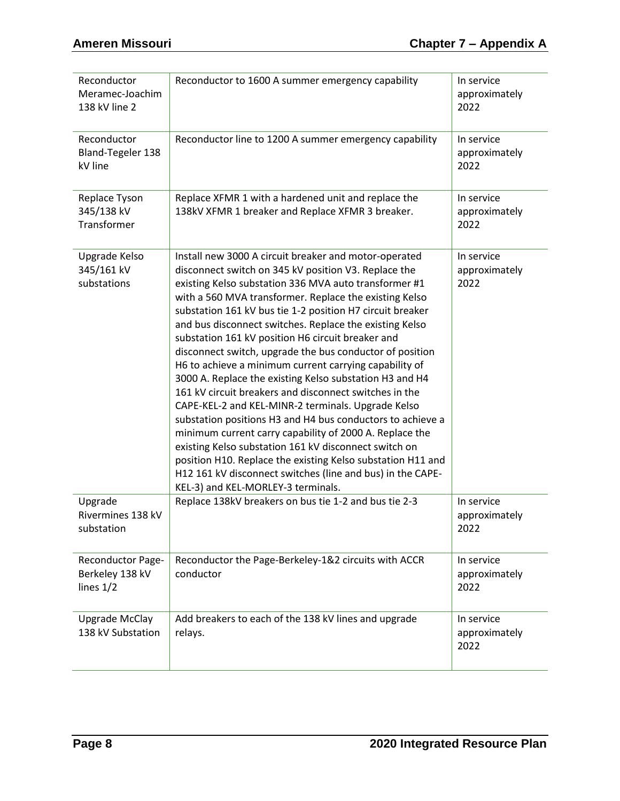| Reconductor<br>Meramec-Joachim<br>138 kV line 2            | Reconductor to 1600 A summer emergency capability                                                                                                                                                                                                                                                                                                                                                                                                                                                                                                                                                                                                                                                                                                                                                                                                                                                                                                                                                                                                                   | In service<br>approximately<br>2022 |
|------------------------------------------------------------|---------------------------------------------------------------------------------------------------------------------------------------------------------------------------------------------------------------------------------------------------------------------------------------------------------------------------------------------------------------------------------------------------------------------------------------------------------------------------------------------------------------------------------------------------------------------------------------------------------------------------------------------------------------------------------------------------------------------------------------------------------------------------------------------------------------------------------------------------------------------------------------------------------------------------------------------------------------------------------------------------------------------------------------------------------------------|-------------------------------------|
| Reconductor<br>Bland-Tegeler 138<br>kV line                | Reconductor line to 1200 A summer emergency capability                                                                                                                                                                                                                                                                                                                                                                                                                                                                                                                                                                                                                                                                                                                                                                                                                                                                                                                                                                                                              | In service<br>approximately<br>2022 |
| Replace Tyson<br>345/138 kV<br>Transformer                 | Replace XFMR 1 with a hardened unit and replace the<br>138kV XFMR 1 breaker and Replace XFMR 3 breaker.                                                                                                                                                                                                                                                                                                                                                                                                                                                                                                                                                                                                                                                                                                                                                                                                                                                                                                                                                             | In service<br>approximately<br>2022 |
| Upgrade Kelso<br>345/161 kV<br>substations                 | Install new 3000 A circuit breaker and motor-operated<br>disconnect switch on 345 kV position V3. Replace the<br>existing Kelso substation 336 MVA auto transformer #1<br>with a 560 MVA transformer. Replace the existing Kelso<br>substation 161 kV bus tie 1-2 position H7 circuit breaker<br>and bus disconnect switches. Replace the existing Kelso<br>substation 161 kV position H6 circuit breaker and<br>disconnect switch, upgrade the bus conductor of position<br>H6 to achieve a minimum current carrying capability of<br>3000 A. Replace the existing Kelso substation H3 and H4<br>161 kV circuit breakers and disconnect switches in the<br>CAPE-KEL-2 and KEL-MINR-2 terminals. Upgrade Kelso<br>substation positions H3 and H4 bus conductors to achieve a<br>minimum current carry capability of 2000 A. Replace the<br>existing Kelso substation 161 kV disconnect switch on<br>position H10. Replace the existing Kelso substation H11 and<br>H12 161 kV disconnect switches (line and bus) in the CAPE-<br>KEL-3) and KEL-MORLEY-3 terminals. | In service<br>approximately<br>2022 |
| Upgrade<br>Rivermines 138 kV<br>substation                 | Replace 138kV breakers on bus tie 1-2 and bus tie 2-3                                                                                                                                                                                                                                                                                                                                                                                                                                                                                                                                                                                                                                                                                                                                                                                                                                                                                                                                                                                                               | In service<br>approximately<br>2022 |
| <b>Reconductor Page-</b><br>Berkeley 138 kV<br>lines $1/2$ | Reconductor the Page-Berkeley-1&2 circuits with ACCR<br>conductor                                                                                                                                                                                                                                                                                                                                                                                                                                                                                                                                                                                                                                                                                                                                                                                                                                                                                                                                                                                                   | In service<br>approximately<br>2022 |
| <b>Upgrade McClay</b><br>138 kV Substation                 | Add breakers to each of the 138 kV lines and upgrade<br>relays.                                                                                                                                                                                                                                                                                                                                                                                                                                                                                                                                                                                                                                                                                                                                                                                                                                                                                                                                                                                                     | In service<br>approximately<br>2022 |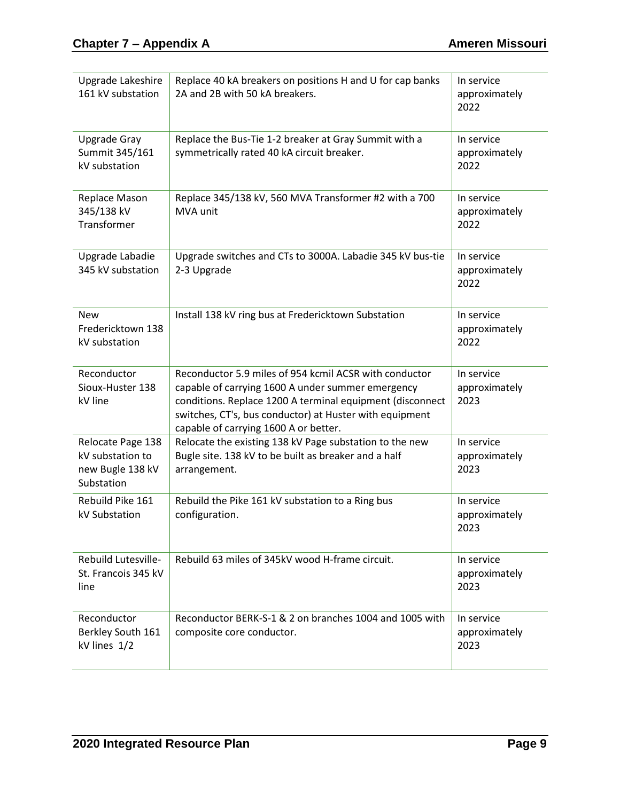| Upgrade Lakeshire<br>161 kV substation                                  | Replace 40 kA breakers on positions H and U for cap banks<br>2A and 2B with 50 kA breakers.                                                                                                                                                                                  | In service<br>approximately<br>2022 |
|-------------------------------------------------------------------------|------------------------------------------------------------------------------------------------------------------------------------------------------------------------------------------------------------------------------------------------------------------------------|-------------------------------------|
| <b>Upgrade Gray</b><br>Summit 345/161<br>kV substation                  | Replace the Bus-Tie 1-2 breaker at Gray Summit with a<br>symmetrically rated 40 kA circuit breaker.                                                                                                                                                                          | In service<br>approximately<br>2022 |
| Replace Mason<br>345/138 kV<br>Transformer                              | Replace 345/138 kV, 560 MVA Transformer #2 with a 700<br>MVA unit                                                                                                                                                                                                            | In service<br>approximately<br>2022 |
| Upgrade Labadie<br>345 kV substation                                    | Upgrade switches and CTs to 3000A. Labadie 345 kV bus-tie<br>2-3 Upgrade                                                                                                                                                                                                     | In service<br>approximately<br>2022 |
| <b>New</b><br>Fredericktown 138<br>kV substation                        | Install 138 kV ring bus at Fredericktown Substation                                                                                                                                                                                                                          | In service<br>approximately<br>2022 |
| Reconductor<br>Sioux-Huster 138<br>kV line                              | Reconductor 5.9 miles of 954 kcmil ACSR with conductor<br>capable of carrying 1600 A under summer emergency<br>conditions. Replace 1200 A terminal equipment (disconnect<br>switches, CT's, bus conductor) at Huster with equipment<br>capable of carrying 1600 A or better. | In service<br>approximately<br>2023 |
| Relocate Page 138<br>kV substation to<br>new Bugle 138 kV<br>Substation | Relocate the existing 138 kV Page substation to the new<br>Bugle site. 138 kV to be built as breaker and a half<br>arrangement.                                                                                                                                              | In service<br>approximately<br>2023 |
| Rebuild Pike 161<br>kV Substation                                       | Rebuild the Pike 161 kV substation to a Ring bus<br>configuration.                                                                                                                                                                                                           | In service<br>approximately<br>2023 |
| Rebuild Lutesville-<br>St. Francois 345 kV<br>line                      | Rebuild 63 miles of 345kV wood H-frame circuit.                                                                                                                                                                                                                              | In service<br>approximately<br>2023 |
| Reconductor<br>Berkley South 161<br>kV lines 1/2                        | Reconductor BERK-S-1 & 2 on branches 1004 and 1005 with<br>composite core conductor.                                                                                                                                                                                         | In service<br>approximately<br>2023 |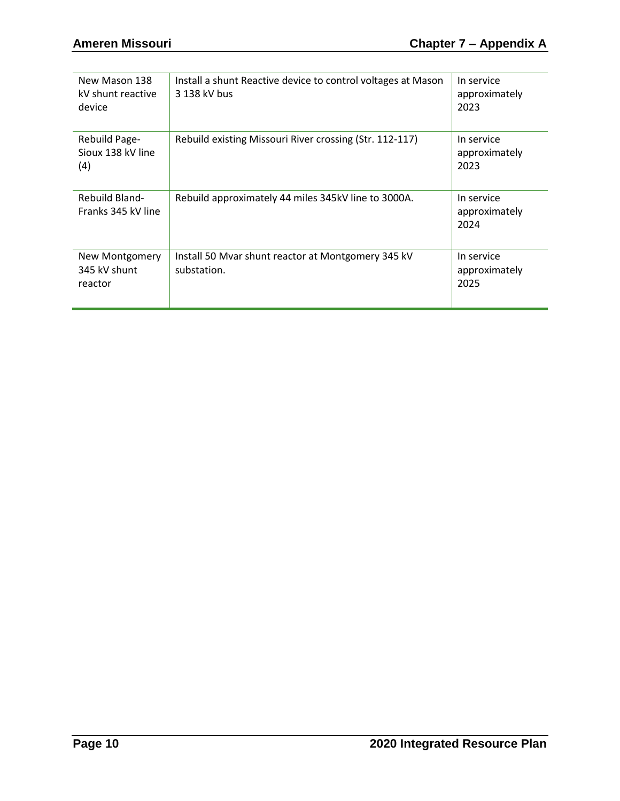| New Mason 138<br>kV shunt reactive<br>device     | Install a shunt Reactive device to control voltages at Mason<br>3 138 kV bus | In service<br>approximately<br>2023 |
|--------------------------------------------------|------------------------------------------------------------------------------|-------------------------------------|
| Rebuild Page-<br>Sioux 138 kV line<br>(4)        | Rebuild existing Missouri River crossing (Str. 112-117)                      | In service<br>approximately<br>2023 |
| <b>Rebuild Bland-</b><br>Franks 345 kV line      | Rebuild approximately 44 miles 345kV line to 3000A.                          | In service<br>approximately<br>2024 |
| <b>New Montgomery</b><br>345 kV shunt<br>reactor | Install 50 Mvar shunt reactor at Montgomery 345 kV<br>substation.            | In service<br>approximately<br>2025 |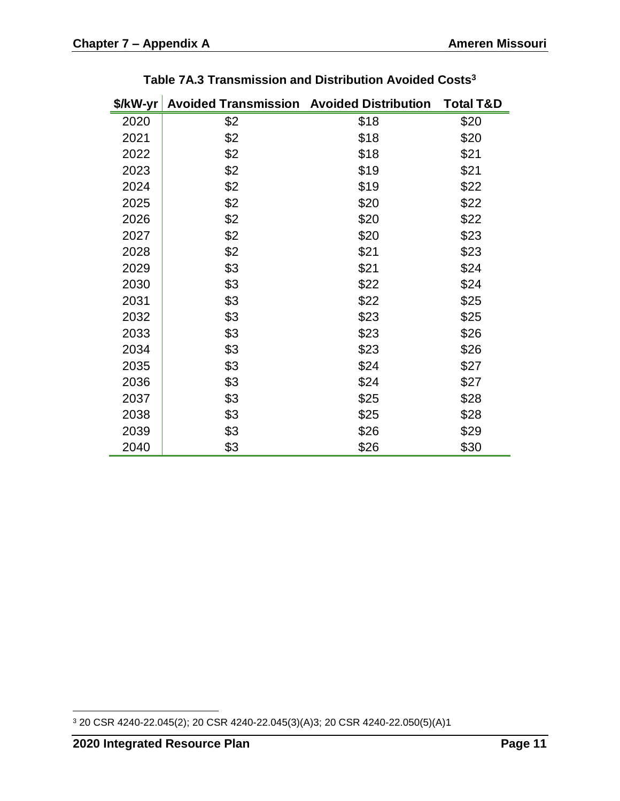| \$/kW-yr | <b>Avoided Transmission Avoided Distribution</b> |      | <b>Total T&amp;D</b> |
|----------|--------------------------------------------------|------|----------------------|
| 2020     | \$2                                              | \$18 | \$20                 |
| 2021     | \$2                                              | \$18 | \$20                 |
| 2022     | \$2                                              | \$18 | \$21                 |
| 2023     | \$2                                              | \$19 | \$21                 |
| 2024     | \$2                                              | \$19 | \$22                 |
| 2025     | \$2                                              | \$20 | \$22                 |
| 2026     | \$2                                              | \$20 | \$22                 |
| 2027     | \$2                                              | \$20 | \$23                 |
| 2028     | \$2                                              | \$21 | \$23                 |
| 2029     | \$3                                              | \$21 | \$24                 |
| 2030     | \$3                                              | \$22 | \$24                 |
| 2031     | \$3                                              | \$22 | \$25                 |
| 2032     | \$3                                              | \$23 | \$25                 |
| 2033     | \$3                                              | \$23 | \$26                 |
| 2034     | \$3                                              | \$23 | \$26                 |
| 2035     | \$3                                              | \$24 | \$27                 |
| 2036     | \$3                                              | \$24 | \$27                 |
| 2037     | \$3                                              | \$25 | \$28                 |
| 2038     | \$3                                              | \$25 | \$28                 |
| 2039     | \$3                                              | \$26 | \$29                 |
| 2040     | \$3                                              | \$26 | \$30                 |

**Table 7A.3 Transmission and Distribution Avoided Costs<sup>3</sup>**

 $\overline{a}$ 20 CSR 4240-22.045(2); 20 CSR 4240-22.045(3)(A)3; 20 CSR 4240-22.050(5)(A)1